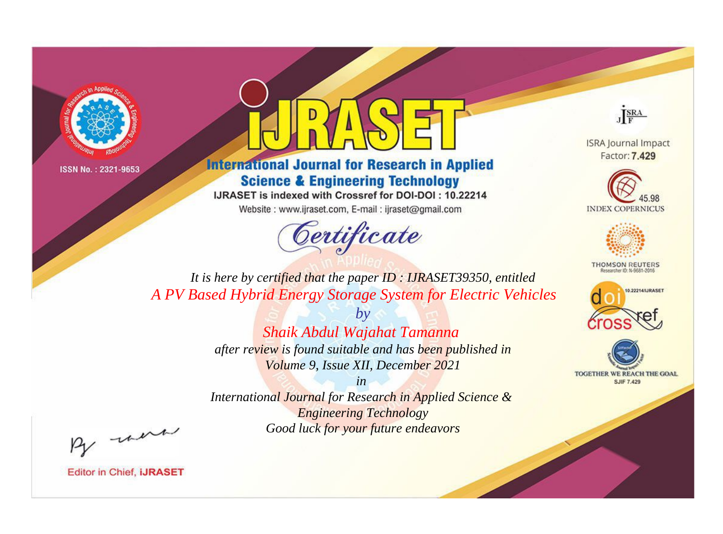



**International Journal for Research in Applied Science & Engineering Technology** 

IJRASET is indexed with Crossref for DOI-DOI: 10.22214

Website: www.ijraset.com, E-mail: ijraset@gmail.com



JERA

**ISRA Journal Impact** Factor: 7.429





**THOMSON REUTERS** 



TOGETHER WE REACH THE GOAL **SJIF 7.429** 

*It is here by certified that the paper ID : IJRASET39350, entitled A PV Based Hybrid Energy Storage System for Electric Vehicles*

> *by Shaik Abdul Wajahat Tamanna after review is found suitable and has been published in*

*Volume 9, Issue XII, December 2021 in* 

*International Journal for Research in Applied Science & Engineering Technology Good luck for your future endeavors*

By morn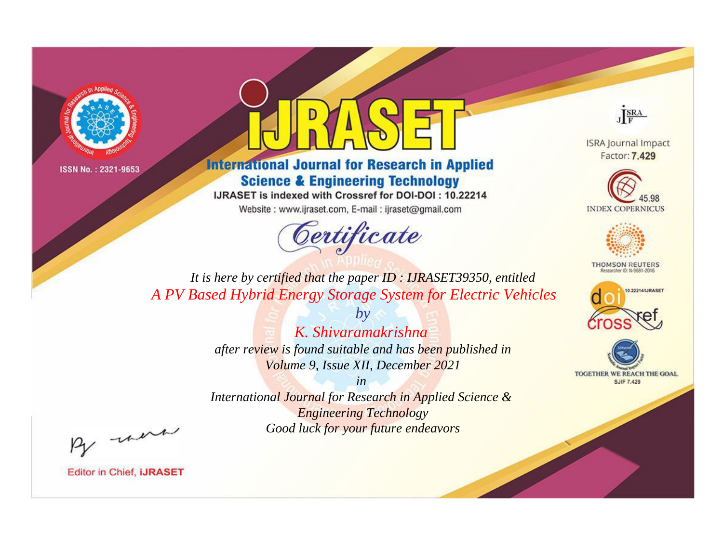



**International Journal for Research in Applied Science & Engineering Technology** 

IJRASET is indexed with Crossref for DOI-DOI: 10.22214

Website: www.ijraset.com, E-mail: ijraset@gmail.com



JERA

**ISRA Journal Impact** Factor: 7.429





**THOMSON REUTERS** 



TOGETHER WE REACH THE GOAL **SJIF 7.429** 

It is here by certified that the paper ID: IJRASET39350, entitled A PV Based Hybrid Energy Storage System for Electric Vehicles

> K. Shivaramakrishna after review is found suitable and has been published in Volume 9, Issue XII, December 2021

 $b\nu$ 

 $in$ International Journal for Research in Applied Science & **Engineering Technology** Good luck for your future endeavors

By morn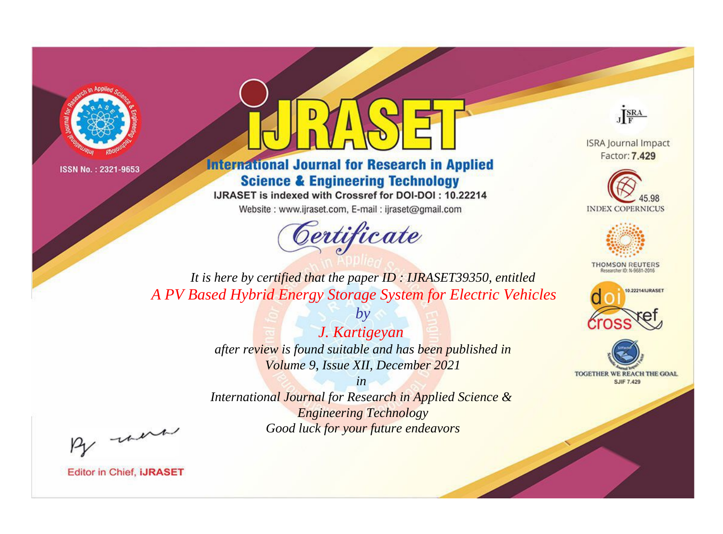



**International Journal for Research in Applied Science & Engineering Technology** 

IJRASET is indexed with Crossref for DOI-DOI: 10.22214

Website: www.ijraset.com, E-mail: ijraset@gmail.com



JERA

**ISRA Journal Impact** Factor: 7.429





**THOMSON REUTERS** 



TOGETHER WE REACH THE GOAL **SJIF 7.429** 

*It is here by certified that the paper ID : IJRASET39350, entitled A PV Based Hybrid Energy Storage System for Electric Vehicles*

> *J. Kartigeyan after review is found suitable and has been published in Volume 9, Issue XII, December 2021*

*by*

*in* 

*International Journal for Research in Applied Science & Engineering Technology Good luck for your future endeavors*

By morn